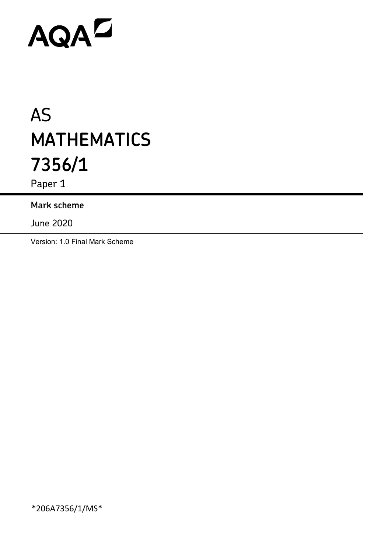# AQAD

# AS **MATHEMATICS 7356/1**

Paper 1

# **Mark scheme**

June 2020

Version: 1.0 Final Mark Scheme

\*206A7356/1/MS\*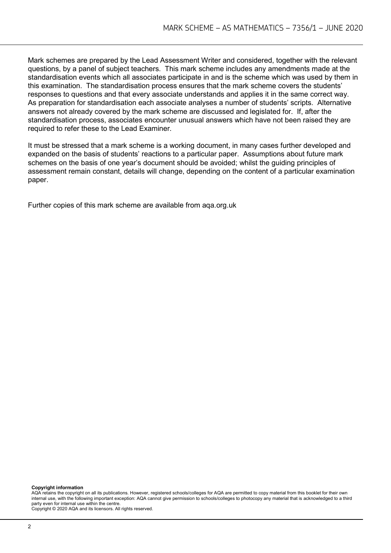Mark schemes are prepared by the Lead Assessment Writer and considered, together with the relevant questions, by a panel of subject teachers. This mark scheme includes any amendments made at the standardisation events which all associates participate in and is the scheme which was used by them in this examination. The standardisation process ensures that the mark scheme covers the students' responses to questions and that every associate understands and applies it in the same correct way. As preparation for standardisation each associate analyses a number of students' scripts. Alternative answers not already covered by the mark scheme are discussed and legislated for. If, after the standardisation process, associates encounter unusual answers which have not been raised they are required to refer these to the Lead Examiner.

It must be stressed that a mark scheme is a working document, in many cases further developed and expanded on the basis of students' reactions to a particular paper. Assumptions about future mark schemes on the basis of one year's document should be avoided; whilst the guiding principles of assessment remain constant, details will change, depending on the content of a particular examination paper.

Further copies of this mark scheme are available from aqa.org.uk

**Copyright information**

AQA retains the copyright on all its publications. However, registered schools/colleges for AQA are permitted to copy material from this booklet for their own internal use, with the following important exception: AQA cannot give permission to schools/colleges to photocopy any material that is acknowledged to a third party even for internal use within the centre.

Copyright © 2020 AQA and its licensors. All rights reserved.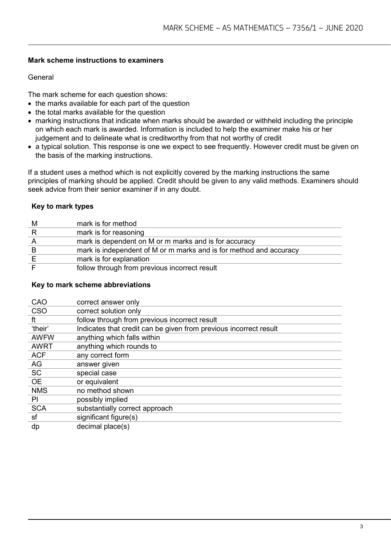# **Mark scheme instructions to examiners**

# General

The mark scheme for each question shows:

- the marks available for each part of the question
- the total marks available for the question
- marking instructions that indicate when marks should be awarded or withheld including the principle on which each mark is awarded. Information is included to help the examiner make his or her judgement and to delineate what is creditworthy from that not worthy of credit
- a typical solution. This response is one we expect to see frequently. However credit must be given on the basis of the marking instructions.

If a student uses a method which is not explicitly covered by the marking instructions the same principles of marking should be applied. Credit should be given to any valid methods. Examiners should seek advice from their senior examiner if in any doubt.

# **Key to mark types**

| M | mark is for method                                                 |
|---|--------------------------------------------------------------------|
| R | mark is for reasoning                                              |
|   | mark is dependent on M or m marks and is for accuracy              |
|   | mark is independent of M or m marks and is for method and accuracy |
|   | mark is for explanation                                            |
|   | follow through from previous incorrect result                      |

# **Key to mark scheme abbreviations**

| CAO         | correct answer only                                               |
|-------------|-------------------------------------------------------------------|
| <b>CSO</b>  | correct solution only                                             |
| ft          | follow through from previous incorrect result                     |
| 'their'     | Indicates that credit can be given from previous incorrect result |
| <b>AWFW</b> | anything which falls within                                       |
| <b>AWRT</b> | anything which rounds to                                          |
| <b>ACF</b>  | any correct form                                                  |
| AG          | answer given                                                      |
| <b>SC</b>   | special case                                                      |
| <b>OE</b>   | or equivalent                                                     |
| <b>NMS</b>  | no method shown                                                   |
| PI          | possibly implied                                                  |
| <b>SCA</b>  | substantially correct approach                                    |
| sf          | significant figure(s)                                             |
| dp          | decimal place(s)                                                  |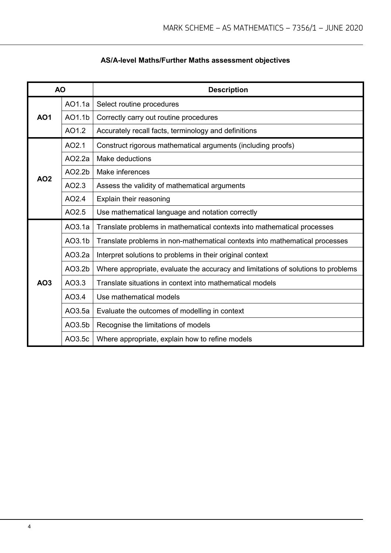# **AS/A-level Maths/Further Maths assessment objectives**

| <b>AO</b>       |        | <b>Description</b>                                                                |  |  |  |  |
|-----------------|--------|-----------------------------------------------------------------------------------|--|--|--|--|
|                 | AO1.1a | Select routine procedures                                                         |  |  |  |  |
| AO <sub>1</sub> | AO1.1b | Correctly carry out routine procedures                                            |  |  |  |  |
|                 | AO1.2  | Accurately recall facts, terminology and definitions                              |  |  |  |  |
|                 | AO2.1  | Construct rigorous mathematical arguments (including proofs)                      |  |  |  |  |
| AO <sub>2</sub> | AO2.2a | Make deductions                                                                   |  |  |  |  |
|                 | AO2.2b | Make inferences                                                                   |  |  |  |  |
|                 | AO2.3  | Assess the validity of mathematical arguments                                     |  |  |  |  |
|                 | AO2.4  | Explain their reasoning                                                           |  |  |  |  |
|                 | AO2.5  | Use mathematical language and notation correctly                                  |  |  |  |  |
|                 | AO3.1a | Translate problems in mathematical contexts into mathematical processes           |  |  |  |  |
|                 | AO3.1b | Translate problems in non-mathematical contexts into mathematical processes       |  |  |  |  |
|                 | AO3.2a | Interpret solutions to problems in their original context                         |  |  |  |  |
|                 | AO3.2b | Where appropriate, evaluate the accuracy and limitations of solutions to problems |  |  |  |  |
| AO3             | AO3.3  | Translate situations in context into mathematical models                          |  |  |  |  |
|                 | AO3.4  | Use mathematical models                                                           |  |  |  |  |
|                 | AO3.5a | Evaluate the outcomes of modelling in context                                     |  |  |  |  |
|                 | AO3.5b | Recognise the limitations of models                                               |  |  |  |  |
|                 | AO3.5c | Where appropriate, explain how to refine models                                   |  |  |  |  |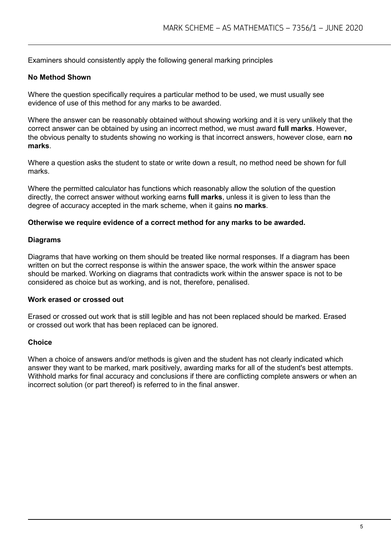Examiners should consistently apply the following general marking principles

# **No Method Shown**

Where the question specifically requires a particular method to be used, we must usually see evidence of use of this method for any marks to be awarded.

Where the answer can be reasonably obtained without showing working and it is very unlikely that the correct answer can be obtained by using an incorrect method, we must award **full marks**. However, the obvious penalty to students showing no working is that incorrect answers, however close, earn **no marks**.

Where a question asks the student to state or write down a result, no method need be shown for full marks.

Where the permitted calculator has functions which reasonably allow the solution of the question directly, the correct answer without working earns **full marks**, unless it is given to less than the degree of accuracy accepted in the mark scheme, when it gains **no marks**.

#### **Otherwise we require evidence of a correct method for any marks to be awarded.**

#### **Diagrams**

Diagrams that have working on them should be treated like normal responses. If a diagram has been written on but the correct response is within the answer space, the work within the answer space should be marked. Working on diagrams that contradicts work within the answer space is not to be considered as choice but as working, and is not, therefore, penalised.

### **Work erased or crossed out**

Erased or crossed out work that is still legible and has not been replaced should be marked. Erased or crossed out work that has been replaced can be ignored.

# **Choice**

When a choice of answers and/or methods is given and the student has not clearly indicated which answer they want to be marked, mark positively, awarding marks for all of the student's best attempts. Withhold marks for final accuracy and conclusions if there are conflicting complete answers or when an incorrect solution (or part thereof) is referred to in the final answer.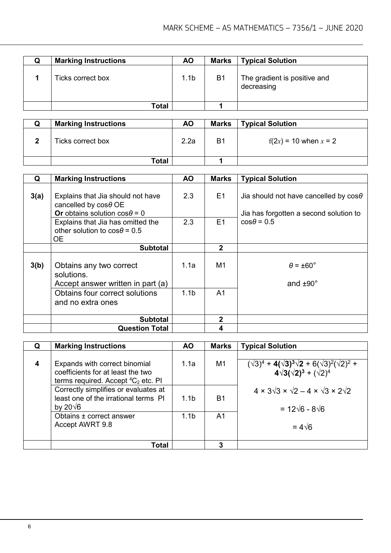| w | <b>Marking Instructions</b> | <b>AO</b>        | <b>Marks</b>   | <b>Typical Solution</b>                    |
|---|-----------------------------|------------------|----------------|--------------------------------------------|
|   | Ticks correct box           | 1.1 <sub>b</sub> | B <sub>1</sub> | The gradient is positive and<br>decreasing |
|   | Total                       |                  |                |                                            |

| u | <b>Marking Instructions</b> | ΑO   | Marks          | Typical Solution          |
|---|-----------------------------|------|----------------|---------------------------|
|   | Ticks correct box           | 2.2a | B <sub>1</sub> | $f(2x) = 10$ when $x = 2$ |
|   | <b>Total</b>                |      |                |                           |

| Q    | <b>Marking Instructions</b>                                                                              | <b>AO</b>        | <b>Marks</b>   | <b>Typical Solution</b>                                                                |
|------|----------------------------------------------------------------------------------------------------------|------------------|----------------|----------------------------------------------------------------------------------------|
| 3(a) | Explains that Jia should not have<br>cancelled by $cos\theta$ OE<br>Or obtains solution $\cos\theta = 0$ | 2.3              | E1             | Jia should not have cancelled by $cos\theta$<br>Jia has forgotten a second solution to |
|      | Explains that Jia has omitted the<br>other solution to $cos\theta = 0.5$<br>ОE                           | 2.3              | E1             | $cos\theta = 0.5$                                                                      |
|      | <b>Subtotal</b>                                                                                          |                  | $\overline{2}$ |                                                                                        |
| 3(b) | Obtains any two correct<br>solutions.<br>Accept answer written in part (a)                               | 1.1a             | M <sub>1</sub> | $\theta = \pm 60^{\circ}$<br>and $±90^\circ$                                           |
|      | Obtains four correct solutions<br>and no extra ones                                                      | 1.1 <sub>b</sub> | A1             |                                                                                        |
|      | <b>Subtotal</b>                                                                                          |                  | $\overline{2}$ |                                                                                        |
|      | <b>Question Total</b>                                                                                    |                  | 4              |                                                                                        |

| Q | <b>Marking Instructions</b>                                                                                    | <b>AO</b>        | <b>Marks</b>   | <b>Typical Solution</b>                                                                                                  |
|---|----------------------------------------------------------------------------------------------------------------|------------------|----------------|--------------------------------------------------------------------------------------------------------------------------|
| 4 | Expands with correct binomial<br>coefficients for at least the two<br>terms required. Accept ${}^4C_2$ etc. PI | 1.1a             | M <sub>1</sub> | $(\sqrt{3})^4$ + 4( $\sqrt{3})^3\sqrt{2}$ + 6( $\sqrt{3})^2(\sqrt{2})^2$ +<br>4 $\sqrt{3}(\sqrt{2})^3$ + ( $\sqrt{2})^4$ |
|   | Correctly simplifies or evaluates at<br>least one of the irrational terms PI<br>by 20 $\sqrt{6}$               | 1.1 <sub>b</sub> | B1             | $4 \times 3\sqrt{3} \times \sqrt{2} - 4 \times \sqrt{3} \times 2\sqrt{2}$<br>$= 12\sqrt{6} - 8\sqrt{6}$                  |
|   | Obtains ± correct answer<br>Accept AWRT 9.8                                                                    | 1.1 <sub>b</sub> | A1             | $= 4\sqrt{6}$                                                                                                            |
|   | Total                                                                                                          |                  | 3              |                                                                                                                          |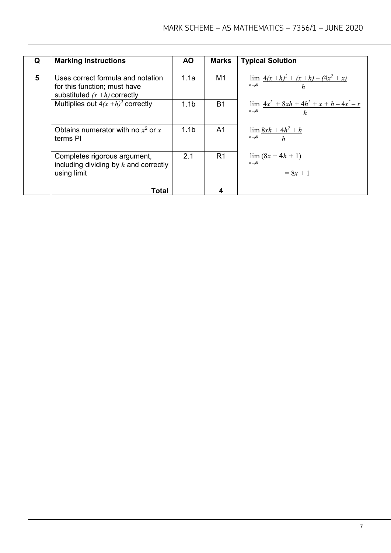| Q | <b>Marking Instructions</b>                                                                          | <b>AO</b>        | <b>Marks</b>   | <b>Typical Solution</b>                                                   |
|---|------------------------------------------------------------------------------------------------------|------------------|----------------|---------------------------------------------------------------------------|
|   |                                                                                                      |                  |                |                                                                           |
| 5 | Uses correct formula and notation<br>for this function; must have<br>substituted $(x + h)$ correctly | 1.1a             | M1             | $\lim \frac{4(x+h)^2 + (x+h) - (4x^2 + x)}{h}$<br>$h\rightarrow 0$<br>h   |
|   | Multiplies out $4(x+h)^2$ correctly                                                                  | 1.1 <sub>b</sub> | <b>B1</b>      | $\lim \frac{4x^2 + 8xh + 4h^2 + x + h - 4x^2 - x}{h}$<br>$h\rightarrow 0$ |
|   | Obtains numerator with no $x^2$ or x<br>terms PI                                                     | 1.1 <sub>b</sub> | A1             | $\lim \frac{8xh + 4h^2 + h}{h}$<br>$h\rightarrow 0$ $h$                   |
|   | Completes rigorous argument,<br>including dividing by $h$ and correctly<br>using limit               | 2.1              | R <sub>1</sub> | $\lim (8x + 4h + 1)$<br>$h\rightarrow 0$<br>$= 8x + 1$                    |
|   | Total                                                                                                |                  | 4              |                                                                           |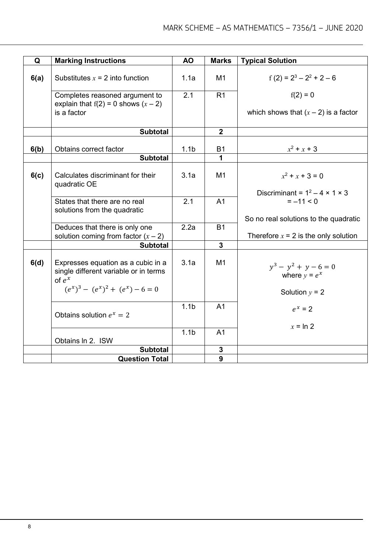| Q    |                                                                                         | <b>AO</b>        | <b>Marks</b>     |                                            |
|------|-----------------------------------------------------------------------------------------|------------------|------------------|--------------------------------------------|
|      | <b>Marking Instructions</b>                                                             |                  |                  | <b>Typical Solution</b>                    |
| 6(a) | Substitutes $x = 2$ into function                                                       | 1.1a             | M <sub>1</sub>   | $f(2) = 2^3 - 2^2 + 2 - 6$                 |
|      | Completes reasoned argument to<br>explain that $f(2) = 0$ shows $(x - 2)$               | 2.1              | R <sub>1</sub>   | $f(2) = 0$                                 |
|      | is a factor                                                                             |                  |                  | which shows that $(x - 2)$ is a factor     |
|      | <b>Subtotal</b>                                                                         |                  | $\overline{2}$   |                                            |
| 6(b) | Obtains correct factor                                                                  | 1.1 <sub>b</sub> | B1               | $x^2 + x + 3$                              |
|      | <b>Subtotal</b>                                                                         |                  | 1                |                                            |
| 6(c) | Calculates discriminant for their<br>quadratic OE                                       | 3.1a             | M <sub>1</sub>   | $x^2 + x + 3 = 0$                          |
|      |                                                                                         |                  |                  | Discriminant = $1^2 - 4 \times 1 \times 3$ |
|      | States that there are no real                                                           | 2.1              | A <sub>1</sub>   | $= -11 < 0$                                |
|      | solutions from the quadratic                                                            |                  |                  | So no real solutions to the quadratic      |
|      | Deduces that there is only one                                                          | 2.2a             | <b>B1</b>        |                                            |
|      | solution coming from factor $(x - 2)$                                                   |                  |                  | Therefore $x = 2$ is the only solution     |
|      | <b>Subtotal</b>                                                                         |                  | $\overline{3}$   |                                            |
| 6(d) | Expresses equation as a cubic in a<br>single different variable or in terms<br>of $e^x$ | 3.1a             | M1               | $y^3 - y^2 + y - 6 = 0$<br>where $y = e^x$ |
|      | $(e^x)^3 - (e^x)^2 + (e^x) - 6 = 0$                                                     |                  |                  | Solution $y = 2$                           |
|      | Obtains solution $e^x = 2$                                                              | 1.1 <sub>b</sub> | A <sub>1</sub>   | $e^x = 2$                                  |
|      |                                                                                         | 1.1 <sub>b</sub> | A <sub>1</sub>   | $x = \ln 2$                                |
|      | Obtains In 2. ISW                                                                       |                  |                  |                                            |
|      | <b>Subtotal</b>                                                                         |                  | 3                |                                            |
|      | <b>Question Total</b>                                                                   |                  | $\boldsymbol{9}$ |                                            |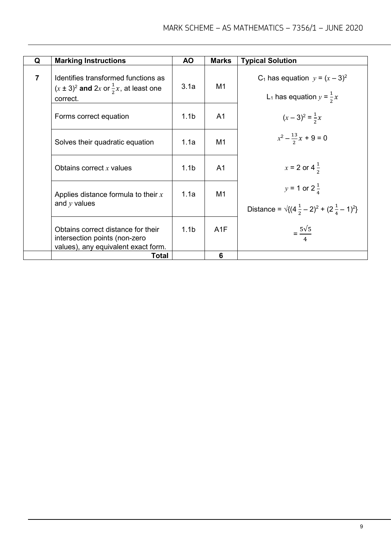| Q              | <b>Marking Instructions</b>                                                                                | <b>AO</b>        | <b>Marks</b>   | <b>Typical Solution</b>                                                                       |
|----------------|------------------------------------------------------------------------------------------------------------|------------------|----------------|-----------------------------------------------------------------------------------------------|
| $\overline{7}$ | Identifies transformed functions as<br>$(x \pm 3)^2$ and 2x or $\frac{1}{2}x$ , at least one<br>correct.   | 3.1a             | M <sub>1</sub> | C <sub>1</sub> has equation $y = (x - 3)^2$<br>L <sub>1</sub> has equation $y = \frac{1}{2}x$ |
|                | Forms correct equation                                                                                     | 1.1 <sub>b</sub> | A <sub>1</sub> | $(x-3)^2 = \frac{1}{2}x$                                                                      |
|                | Solves their quadratic equation                                                                            | 1.1a             | M <sub>1</sub> | $x^2 - \frac{13}{2}x + 9 = 0$                                                                 |
|                | Obtains correct $x$ values                                                                                 | 1.1 <sub>b</sub> | A <sub>1</sub> | $x = 2$ or $4\frac{1}{2}$                                                                     |
|                | Applies distance formula to their $x$<br>and $y$ values                                                    | 1.1a             | M1             | $y = 1$ or $2\frac{1}{4}$<br>Distance = $\sqrt{(4\frac{1}{2}-2)^2 + (2\frac{1}{4}-1)^2}$      |
|                | Obtains correct distance for their<br>intersection points (non-zero<br>values), any equivalent exact form. | 1.1 <sub>b</sub> | A1F            | $=\frac{5\sqrt{5}}{4}$                                                                        |
|                | Total                                                                                                      |                  | 6              |                                                                                               |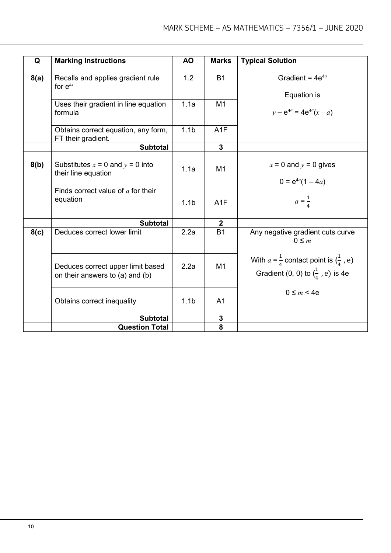| Q    | <b>Marking Instructions</b>                                          | <b>AO</b>        | <b>Marks</b>            | <b>Typical Solution</b>                                                                                   |
|------|----------------------------------------------------------------------|------------------|-------------------------|-----------------------------------------------------------------------------------------------------------|
| 8(a) | Recalls and applies gradient rule<br>for $e^{kx}$                    | 1.2              | <b>B1</b>               | Gradient = $4e^{4a}$<br>Equation is                                                                       |
|      | Uses their gradient in line equation<br>formula                      | 1.1a             | M <sub>1</sub>          | $y - e^{4a} = 4e^{4a}(x - a)$                                                                             |
|      | Obtains correct equation, any form,<br>FT their gradient.            | 1.1 <sub>b</sub> | A1F                     |                                                                                                           |
|      | <b>Subtotal</b>                                                      |                  | $\overline{\mathbf{3}}$ |                                                                                                           |
| 8(b) | Substitutes $x = 0$ and $y = 0$ into<br>their line equation          | 1.1a             | M1                      | $x = 0$ and $y = 0$ gives<br>$0 = e^{4a}(1 - 4a)$                                                         |
|      | Finds correct value of $a$ for their<br>equation                     | 1.1 <sub>b</sub> | A1F                     | $a = \frac{1}{4}$                                                                                         |
|      | <b>Subtotal</b>                                                      |                  | 2 <sup>1</sup>          |                                                                                                           |
| 8(c) | Deduces correct lower limit                                          | 2.2a             | <b>B1</b>               | Any negative gradient cuts curve<br>$0 \leq m$                                                            |
|      | Deduces correct upper limit based<br>on their answers to (a) and (b) | 2.2a             | M <sub>1</sub>          | With $a = \frac{1}{4}$ contact point is $(\frac{1}{4}, e)$<br>Gradient (0, 0) to $(\frac{1}{4}, e)$ is 4e |
|      | Obtains correct inequality                                           | 1.1 <sub>b</sub> | A <sub>1</sub>          | $0 \leq m < 4e$                                                                                           |
|      | <b>Subtotal</b>                                                      |                  | ${\bf 3}$               |                                                                                                           |
|      | <b>Question Total</b>                                                |                  | 8                       |                                                                                                           |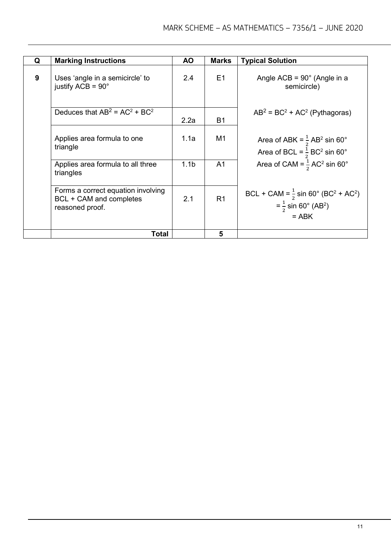| Q | <b>Marking Instructions</b>                                                      | <b>AO</b>        | <b>Marks</b>   | <b>Typical Solution</b>                                                                                                        |
|---|----------------------------------------------------------------------------------|------------------|----------------|--------------------------------------------------------------------------------------------------------------------------------|
|   |                                                                                  |                  |                |                                                                                                                                |
| 9 | Uses 'angle in a semicircle' to<br>justify $ACB = 90^\circ$                      | 2.4              | E1             | Angle $ACB = 90^\circ$ (Angle in a<br>semicircle)                                                                              |
|   | Deduces that $AB^2 = AC^2 + BC^2$                                                | 2.2a             | <b>B1</b>      | $AB^2 = BC^2 + AC^2$ (Pythagoras)                                                                                              |
|   | Applies area formula to one<br>triangle                                          | 1.1a             | M1             | Area of ABK = $\frac{1}{2}$ AB <sup>2</sup> sin 60°<br>Area of BCL = $\frac{1}{2}$ BC <sup>2</sup> sin 60°                     |
|   | Applies area formula to all three<br>triangles                                   | 1.1 <sub>b</sub> | A1             | Area of CAM = $\frac{1}{2}$ AC <sup>2</sup> sin 60°                                                                            |
|   | Forms a correct equation involving<br>BCL + CAM and completes<br>reasoned proof. | 2.1              | R <sub>1</sub> | BCL + CAM = $\frac{1}{2}$ sin 60° (BC <sup>2</sup> + AC <sup>2</sup> )<br>$=\frac{1}{2}$ sin 60° (AB <sup>2</sup> )<br>$=$ ABK |
|   | Total                                                                            |                  | 5              |                                                                                                                                |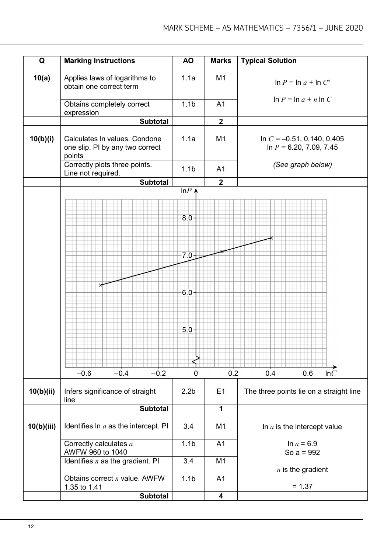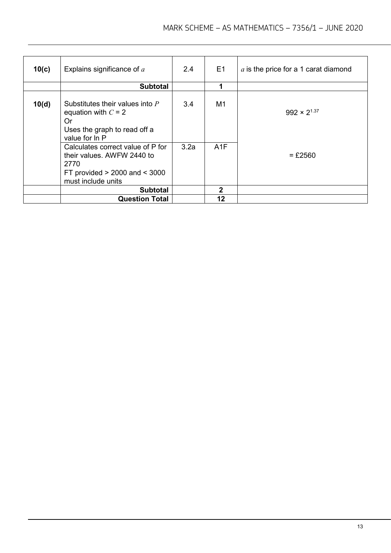| 10(c) | Explains significance of a                                                                                                         | 2.4  | E <sub>1</sub> | $a$ is the price for a 1 carat diamond |
|-------|------------------------------------------------------------------------------------------------------------------------------------|------|----------------|----------------------------------------|
|       | <b>Subtotal</b>                                                                                                                    |      |                |                                        |
| 10(d) | Substitutes their values into P<br>equation with $C = 2$<br>Or<br>Uses the graph to read off a<br>value for In P                   | 3.4  | M <sub>1</sub> | $992 \times 2^{1.37}$                  |
|       | Calculates correct value of P for<br>their values. AWFW 2440 to<br>2770<br>FT provided $>$ 2000 and $<$ 3000<br>must include units | 3.2a | A1F            | $=$ £2560                              |
|       | <b>Subtotal</b>                                                                                                                    |      | 2              |                                        |
|       | <b>Question Total</b>                                                                                                              |      | 12             |                                        |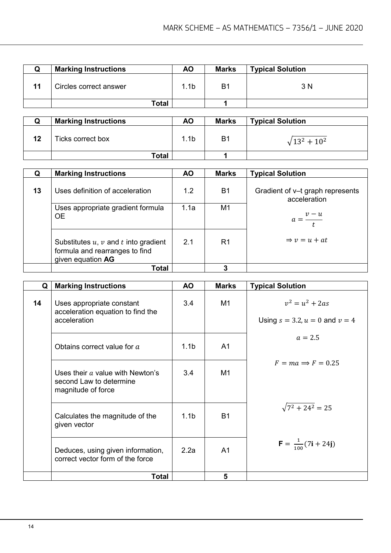|    | <b>Marking Instructions</b> | <b>AO</b>        | <b>Marks</b> | <b>Typical Solution</b> |
|----|-----------------------------|------------------|--------------|-------------------------|
| 11 | Circles correct answer      | 1.1 <sub>b</sub> | Β1           | 3 N                     |
|    | Total                       |                  |              |                         |

|    | <b>Marking Instructions</b> | ΑO   | <b>Marks</b>   | <b>Typical Solution</b> |
|----|-----------------------------|------|----------------|-------------------------|
| 12 | Ticks correct box           | 1.1b | B <sub>1</sub> | $\sqrt{13^2+10^2}$      |
|    | Total                       |      |                |                         |

|    | <b>Marking Instructions</b>                                                                     | <b>AO</b> | <b>Marks</b>   | <b>Typical Solution</b>                          |
|----|-------------------------------------------------------------------------------------------------|-----------|----------------|--------------------------------------------------|
| 13 | Uses definition of acceleration                                                                 | 1.2       | <b>B1</b>      | Gradient of v-t graph represents<br>acceleration |
|    | Uses appropriate gradient formula<br><b>OE</b>                                                  | 1.1a      | M <sub>1</sub> | $a = \frac{v - u}{t}$                            |
|    | Substitutes $u, v$ and $t$ into gradient<br>formula and rearranges to find<br>given equation AG | 2.1       | R <sub>1</sub> | $\Rightarrow v = u + at$                         |
|    | Total                                                                                           |           | 3              |                                                  |

| Q  | <b>Marking Instructions</b>                                                         | AO.              | <b>Marks</b>   | <b>Typical Solution</b>                                  |
|----|-------------------------------------------------------------------------------------|------------------|----------------|----------------------------------------------------------|
| 14 | Uses appropriate constant<br>acceleration equation to find the<br>acceleration      | 3.4              | M1             | $v^2 = u^2 + 2as$<br>Using $s = 3.2, u = 0$ and $v = 4$  |
|    | Obtains correct value for a                                                         | 1.1 <sub>b</sub> | A <sub>1</sub> | $a = 2.5$                                                |
|    | Uses their $a$ value with Newton's<br>second Law to determine<br>magnitude of force | 3.4              | M1             | $F = ma \implies F = 0.25$                               |
|    | Calculates the magnitude of the<br>given vector                                     | 1.1 <sub>b</sub> | <b>B1</b>      | $\sqrt{7^2 + 24^2} = 25$                                 |
|    | Deduces, using given information,<br>correct vector form of the force               | 2.2a             | A <sub>1</sub> | $\mathbf{F} = \frac{1}{100}(7\mathbf{i} + 24\mathbf{j})$ |
|    | Total                                                                               |                  | 5              |                                                          |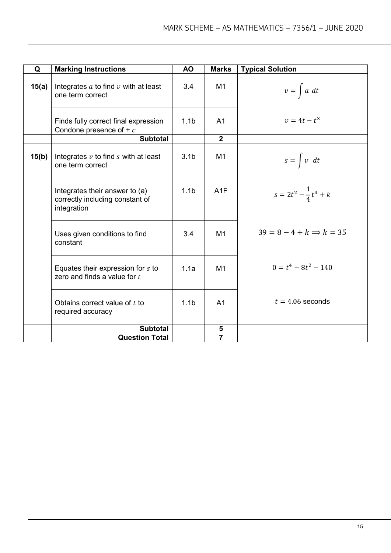| Q     | <b>Marking Instructions</b>                                                      | AO.              | <b>Marks</b>   | <b>Typical Solution</b>             |
|-------|----------------------------------------------------------------------------------|------------------|----------------|-------------------------------------|
| 15(a) | Integrates $a$ to find $v$ with at least<br>one term correct                     | 3.4              | M1             | $v = \int a \ dt$                   |
|       | Finds fully correct final expression<br>Condone presence of $+ c$                | 1.1 <sub>b</sub> | A <sub>1</sub> | $v = 4t - t^3$                      |
|       | <b>Subtotal</b>                                                                  |                  | $\overline{2}$ |                                     |
| 15(b) | Integrates $v$ to find $s$ with at least<br>one term correct                     | 3.1 <sub>b</sub> | M <sub>1</sub> | $s = \int v \ dt$                   |
|       | Integrates their answer to (a)<br>correctly including constant of<br>integration | 1.1 <sub>b</sub> | A1F            | $s = 2t^2 - \frac{1}{4}t^4 + k$     |
|       | Uses given conditions to find<br>constant                                        | 3.4              | M1             | $39 = 8 - 4 + k \Rightarrow k = 35$ |
|       | Equates their expression for s to<br>zero and finds a value for $t$              | 1.1a             | M1             | $0 = t^4 - 8t^2 - 140$              |
|       | Obtains correct value of $t$ to<br>required accuracy                             | 1.1 <sub>b</sub> | A <sub>1</sub> | $t = 4.06$ seconds                  |
|       | <b>Subtotal</b>                                                                  |                  | 5              |                                     |
|       | <b>Question Total</b>                                                            |                  | $\overline{7}$ |                                     |